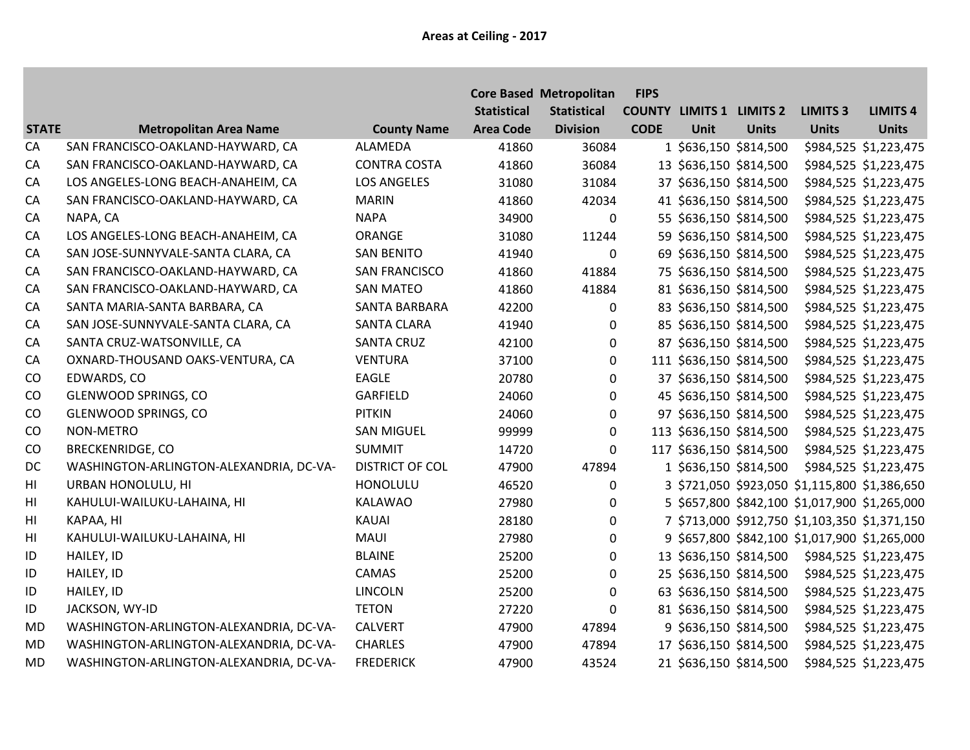|                        |                                         |                        |                    | <b>Core Based Metropolitan</b> | <b>FIPS</b> |                                 |                         |                                               |                       |
|------------------------|-----------------------------------------|------------------------|--------------------|--------------------------------|-------------|---------------------------------|-------------------------|-----------------------------------------------|-----------------------|
|                        |                                         |                        | <b>Statistical</b> | <b>Statistical</b>             |             | <b>COUNTY LIMITS 1 LIMITS 2</b> |                         | <b>LIMITS 3</b>                               | <b>LIMITS 4</b>       |
| <b>STATE</b>           | <b>Metropolitan Area Name</b>           | <b>County Name</b>     | <b>Area Code</b>   | <b>Division</b>                | <b>CODE</b> | <b>Unit</b>                     | <b>Units</b>            | <b>Units</b>                                  | <b>Units</b>          |
| CA                     | SAN FRANCISCO-OAKLAND-HAYWARD, CA       | <b>ALAMEDA</b>         | 41860              | 36084                          |             |                                 | 1 \$636,150 \$814,500   |                                               | \$984,525 \$1,223,475 |
| CA                     | SAN FRANCISCO-OAKLAND-HAYWARD, CA       | <b>CONTRA COSTA</b>    | 41860              | 36084                          |             |                                 | 13 \$636,150 \$814,500  |                                               | \$984,525 \$1,223,475 |
| CA                     | LOS ANGELES-LONG BEACH-ANAHEIM, CA      | <b>LOS ANGELES</b>     | 31080              | 31084                          |             |                                 | 37 \$636,150 \$814,500  |                                               | \$984,525 \$1,223,475 |
| CA                     | SAN FRANCISCO-OAKLAND-HAYWARD, CA       | <b>MARIN</b>           | 41860              | 42034                          |             |                                 | 41 \$636,150 \$814,500  |                                               | \$984,525 \$1,223,475 |
| CA                     | NAPA, CA                                | <b>NAPA</b>            | 34900              | $\mathbf 0$                    |             |                                 | 55 \$636,150 \$814,500  |                                               | \$984,525 \$1,223,475 |
| CA                     | LOS ANGELES-LONG BEACH-ANAHEIM, CA      | ORANGE                 | 31080              | 11244                          |             |                                 | 59 \$636,150 \$814,500  |                                               | \$984,525 \$1,223,475 |
| CA                     | SAN JOSE-SUNNYVALE-SANTA CLARA, CA      | <b>SAN BENITO</b>      | 41940              | $\mathbf 0$                    |             |                                 | 69 \$636,150 \$814,500  |                                               | \$984,525 \$1,223,475 |
| CA                     | SAN FRANCISCO-OAKLAND-HAYWARD, CA       | <b>SAN FRANCISCO</b>   | 41860              | 41884                          |             |                                 | 75 \$636,150 \$814,500  |                                               | \$984,525 \$1,223,475 |
| CA                     | SAN FRANCISCO-OAKLAND-HAYWARD, CA       | <b>SAN MATEO</b>       | 41860              | 41884                          |             |                                 | 81 \$636,150 \$814,500  |                                               | \$984,525 \$1,223,475 |
| CA                     | SANTA MARIA-SANTA BARBARA, CA           | SANTA BARBARA          | 42200              | 0                              |             |                                 | 83 \$636,150 \$814,500  |                                               | \$984,525 \$1,223,475 |
| CA                     | SAN JOSE-SUNNYVALE-SANTA CLARA, CA      | <b>SANTA CLARA</b>     | 41940              | 0                              |             |                                 | 85 \$636,150 \$814,500  |                                               | \$984,525 \$1,223,475 |
| CA                     | SANTA CRUZ-WATSONVILLE, CA              | <b>SANTA CRUZ</b>      | 42100              | 0                              |             |                                 | 87 \$636,150 \$814,500  |                                               | \$984,525 \$1,223,475 |
| CA                     | OXNARD-THOUSAND OAKS-VENTURA, CA        | <b>VENTURA</b>         | 37100              | $\Omega$                       |             |                                 | 111 \$636,150 \$814,500 |                                               | \$984,525 \$1,223,475 |
| CO                     | EDWARDS, CO                             | <b>EAGLE</b>           | 20780              | $\mathbf 0$                    |             |                                 | 37 \$636,150 \$814,500  |                                               | \$984,525 \$1,223,475 |
| CO                     | <b>GLENWOOD SPRINGS, CO</b>             | <b>GARFIELD</b>        | 24060              | 0                              |             |                                 | 45 \$636,150 \$814,500  |                                               | \$984,525 \$1,223,475 |
| CO                     | <b>GLENWOOD SPRINGS, CO</b>             | <b>PITKIN</b>          | 24060              | 0                              |             |                                 | 97 \$636,150 \$814,500  |                                               | \$984,525 \$1,223,475 |
| CO                     | NON-METRO                               | <b>SAN MIGUEL</b>      | 99999              | $\mathbf 0$                    |             |                                 | 113 \$636,150 \$814,500 |                                               | \$984,525 \$1,223,475 |
| CO                     | <b>BRECKENRIDGE, CO</b>                 | <b>SUMMIT</b>          | 14720              | $\mathbf{0}$                   |             |                                 | 117 \$636,150 \$814,500 |                                               | \$984,525 \$1,223,475 |
| DC                     | WASHINGTON-ARLINGTON-ALEXANDRIA, DC-VA- | <b>DISTRICT OF COL</b> | 47900              | 47894                          |             |                                 | 1 \$636,150 \$814,500   |                                               | \$984,525 \$1,223,475 |
| $\mathsf{H}\mathsf{I}$ | URBAN HONOLULU, HI                      | HONOLULU               | 46520              | 0                              |             |                                 |                         | 3 \$721,050 \$923,050 \$1,115,800 \$1,386,650 |                       |
| H <sub>II</sub>        | KAHULUI-WAILUKU-LAHAINA, HI             | KALAWAO                | 27980              | 0                              |             |                                 |                         | 5 \$657,800 \$842,100 \$1,017,900 \$1,265,000 |                       |
| H <sub>II</sub>        | KAPAA, HI                               | KAUAI                  | 28180              | 0                              |             |                                 |                         | 7 \$713,000 \$912,750 \$1,103,350 \$1,371,150 |                       |
| H <sub>II</sub>        | KAHULUI-WAILUKU-LAHAINA, HI             | MAUI                   | 27980              | $\boldsymbol{0}$               |             |                                 |                         | 9 \$657,800 \$842,100 \$1,017,900 \$1,265,000 |                       |
| ID                     | HAILEY, ID                              | <b>BLAINE</b>          | 25200              | 0                              |             |                                 | 13 \$636,150 \$814,500  |                                               | \$984,525 \$1,223,475 |
| ID                     | HAILEY, ID                              | <b>CAMAS</b>           | 25200              | 0                              |             |                                 | 25 \$636,150 \$814,500  |                                               | \$984,525 \$1,223,475 |
| ID                     | HAILEY, ID                              | LINCOLN                | 25200              | $\mathbf 0$                    |             |                                 | 63 \$636,150 \$814,500  |                                               | \$984,525 \$1,223,475 |
| ID                     | JACKSON, WY-ID                          | <b>TETON</b>           | 27220              | $\Omega$                       |             |                                 | 81 \$636,150 \$814,500  |                                               | \$984,525 \$1,223,475 |
| <b>MD</b>              | WASHINGTON-ARLINGTON-ALEXANDRIA, DC-VA- | <b>CALVERT</b>         | 47900              | 47894                          |             |                                 | 9 \$636,150 \$814,500   |                                               | \$984,525 \$1,223,475 |
| <b>MD</b>              | WASHINGTON-ARLINGTON-ALEXANDRIA, DC-VA- | <b>CHARLES</b>         | 47900              | 47894                          |             |                                 | 17 \$636,150 \$814,500  |                                               | \$984,525 \$1,223,475 |
| <b>MD</b>              | WASHINGTON-ARLINGTON-ALEXANDRIA, DC-VA- | <b>FREDERICK</b>       | 47900              | 43524                          |             |                                 | 21 \$636,150 \$814,500  |                                               | \$984,525 \$1,223,475 |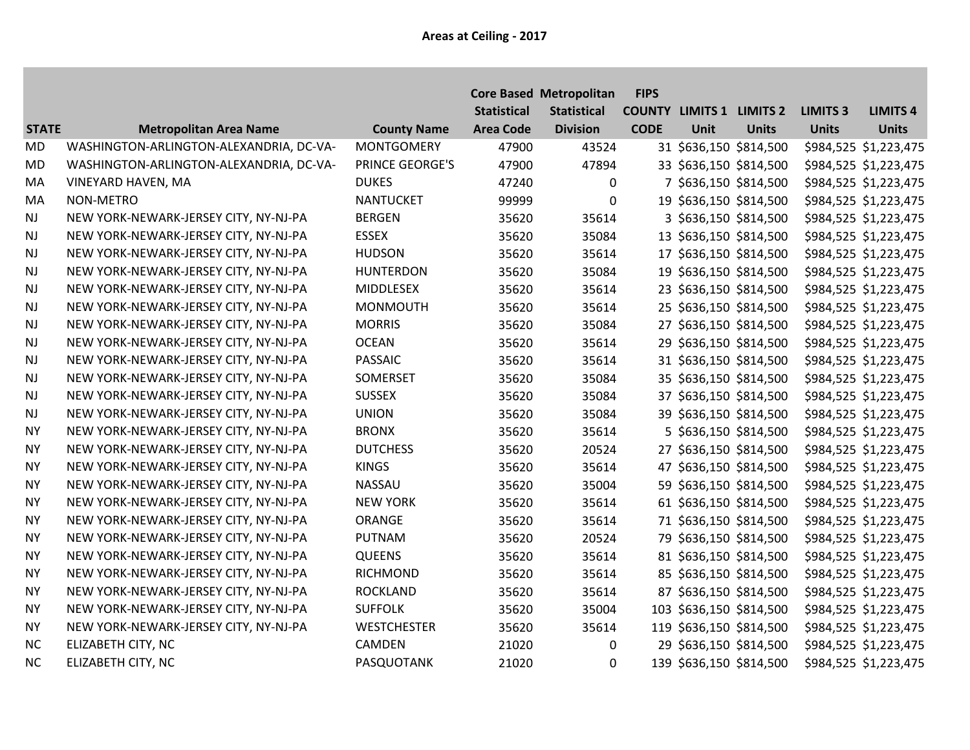|              |                                         |                    |                    | <b>Core Based Metropolitan</b> | <b>FIPS</b> |      |                                 |                 |                       |
|--------------|-----------------------------------------|--------------------|--------------------|--------------------------------|-------------|------|---------------------------------|-----------------|-----------------------|
|              |                                         |                    | <b>Statistical</b> | <b>Statistical</b>             |             |      | <b>COUNTY LIMITS 1 LIMITS 2</b> | <b>LIMITS 3</b> | <b>LIMITS 4</b>       |
| <b>STATE</b> | <b>Metropolitan Area Name</b>           | <b>County Name</b> | <b>Area Code</b>   | <b>Division</b>                | <b>CODE</b> | Unit | <b>Units</b>                    | <b>Units</b>    | <b>Units</b>          |
| <b>MD</b>    | WASHINGTON-ARLINGTON-ALEXANDRIA, DC-VA- | <b>MONTGOMERY</b>  | 47900              | 43524                          |             |      | 31 \$636,150 \$814,500          |                 | \$984,525 \$1,223,475 |
| <b>MD</b>    | WASHINGTON-ARLINGTON-ALEXANDRIA, DC-VA- | PRINCE GEORGE'S    | 47900              | 47894                          |             |      | 33 \$636,150 \$814,500          |                 | \$984,525 \$1,223,475 |
| MA           | VINEYARD HAVEN, MA                      | <b>DUKES</b>       | 47240              | 0                              |             |      | 7 \$636,150 \$814,500           |                 | \$984,525 \$1,223,475 |
| MA           | NON-METRO                               | <b>NANTUCKET</b>   | 99999              | $\mathbf 0$                    |             |      | 19 \$636,150 \$814,500          |                 | \$984,525 \$1,223,475 |
| <b>NJ</b>    | NEW YORK-NEWARK-JERSEY CITY, NY-NJ-PA   | <b>BERGEN</b>      | 35620              | 35614                          |             |      | 3 \$636,150 \$814,500           |                 | \$984,525 \$1,223,475 |
| <b>NJ</b>    | NEW YORK-NEWARK-JERSEY CITY, NY-NJ-PA   | <b>ESSEX</b>       | 35620              | 35084                          |             |      | 13 \$636,150 \$814,500          |                 | \$984,525 \$1,223,475 |
| <b>NJ</b>    | NEW YORK-NEWARK-JERSEY CITY, NY-NJ-PA   | <b>HUDSON</b>      | 35620              | 35614                          |             |      | 17 \$636,150 \$814,500          |                 | \$984,525 \$1,223,475 |
| NJ           | NEW YORK-NEWARK-JERSEY CITY, NY-NJ-PA   | <b>HUNTERDON</b>   | 35620              | 35084                          |             |      | 19 \$636,150 \$814,500          |                 | \$984,525 \$1,223,475 |
| <b>NJ</b>    | NEW YORK-NEWARK-JERSEY CITY, NY-NJ-PA   | MIDDLESEX          | 35620              | 35614                          |             |      | 23 \$636,150 \$814,500          |                 | \$984,525 \$1,223,475 |
| <b>NJ</b>    | NEW YORK-NEWARK-JERSEY CITY, NY-NJ-PA   | <b>MONMOUTH</b>    | 35620              | 35614                          |             |      | 25 \$636,150 \$814,500          |                 | \$984,525 \$1,223,475 |
| <b>NJ</b>    | NEW YORK-NEWARK-JERSEY CITY, NY-NJ-PA   | <b>MORRIS</b>      | 35620              | 35084                          |             |      | 27 \$636,150 \$814,500          |                 | \$984,525 \$1,223,475 |
| NJ           | NEW YORK-NEWARK-JERSEY CITY, NY-NJ-PA   | <b>OCEAN</b>       | 35620              | 35614                          |             |      | 29 \$636,150 \$814,500          |                 | \$984,525 \$1,223,475 |
| <b>NJ</b>    | NEW YORK-NEWARK-JERSEY CITY, NY-NJ-PA   | <b>PASSAIC</b>     | 35620              | 35614                          |             |      | 31 \$636,150 \$814,500          |                 | \$984,525 \$1,223,475 |
| <b>NJ</b>    | NEW YORK-NEWARK-JERSEY CITY, NY-NJ-PA   | SOMERSET           | 35620              | 35084                          |             |      | 35 \$636,150 \$814,500          |                 | \$984,525 \$1,223,475 |
| <b>NJ</b>    | NEW YORK-NEWARK-JERSEY CITY, NY-NJ-PA   | <b>SUSSEX</b>      | 35620              | 35084                          |             |      | 37 \$636,150 \$814,500          |                 | \$984,525 \$1,223,475 |
| NJ           | NEW YORK-NEWARK-JERSEY CITY, NY-NJ-PA   | <b>UNION</b>       | 35620              | 35084                          |             |      | 39 \$636,150 \$814,500          |                 | \$984,525 \$1,223,475 |
| <b>NY</b>    | NEW YORK-NEWARK-JERSEY CITY, NY-NJ-PA   | <b>BRONX</b>       | 35620              | 35614                          |             |      | 5 \$636,150 \$814,500           |                 | \$984,525 \$1,223,475 |
| <b>NY</b>    | NEW YORK-NEWARK-JERSEY CITY, NY-NJ-PA   | <b>DUTCHESS</b>    | 35620              | 20524                          |             |      | 27 \$636,150 \$814,500          |                 | \$984,525 \$1,223,475 |
| <b>NY</b>    | NEW YORK-NEWARK-JERSEY CITY, NY-NJ-PA   | <b>KINGS</b>       | 35620              | 35614                          |             |      | 47 \$636,150 \$814,500          |                 | \$984,525 \$1,223,475 |
| <b>NY</b>    | NEW YORK-NEWARK-JERSEY CITY, NY-NJ-PA   | <b>NASSAU</b>      | 35620              | 35004                          |             |      | 59 \$636,150 \$814,500          |                 | \$984,525 \$1,223,475 |
| <b>NY</b>    | NEW YORK-NEWARK-JERSEY CITY, NY-NJ-PA   | <b>NEW YORK</b>    | 35620              | 35614                          |             |      | 61 \$636,150 \$814,500          |                 | \$984,525 \$1,223,475 |
| <b>NY</b>    | NEW YORK-NEWARK-JERSEY CITY, NY-NJ-PA   | ORANGE             | 35620              | 35614                          |             |      | 71 \$636,150 \$814,500          |                 | \$984,525 \$1,223,475 |
| <b>NY</b>    | NEW YORK-NEWARK-JERSEY CITY, NY-NJ-PA   | PUTNAM             | 35620              | 20524                          |             |      | 79 \$636,150 \$814,500          |                 | \$984,525 \$1,223,475 |
| <b>NY</b>    | NEW YORK-NEWARK-JERSEY CITY, NY-NJ-PA   | <b>QUEENS</b>      | 35620              | 35614                          |             |      | 81 \$636,150 \$814,500          |                 | \$984,525 \$1,223,475 |
| <b>NY</b>    | NEW YORK-NEWARK-JERSEY CITY, NY-NJ-PA   | <b>RICHMOND</b>    | 35620              | 35614                          |             |      | 85 \$636,150 \$814,500          |                 | \$984,525 \$1,223,475 |
| <b>NY</b>    | NEW YORK-NEWARK-JERSEY CITY, NY-NJ-PA   | <b>ROCKLAND</b>    | 35620              | 35614                          |             |      | 87 \$636,150 \$814,500          |                 | \$984,525 \$1,223,475 |
| <b>NY</b>    | NEW YORK-NEWARK-JERSEY CITY, NY-NJ-PA   | <b>SUFFOLK</b>     | 35620              | 35004                          |             |      | 103 \$636,150 \$814,500         |                 | \$984,525 \$1,223,475 |
| <b>NY</b>    | NEW YORK-NEWARK-JERSEY CITY, NY-NJ-PA   | <b>WESTCHESTER</b> | 35620              | 35614                          |             |      | 119 \$636,150 \$814,500         |                 | \$984,525 \$1,223,475 |
| NC           | ELIZABETH CITY, NC                      | CAMDEN             | 21020              | 0                              |             |      | 29 \$636,150 \$814,500          |                 | \$984,525 \$1,223,475 |
| NC           | ELIZABETH CITY, NC                      | PASQUOTANK         | 21020              | 0                              |             |      | 139 \$636,150 \$814,500         |                 | \$984,525 \$1,223,475 |